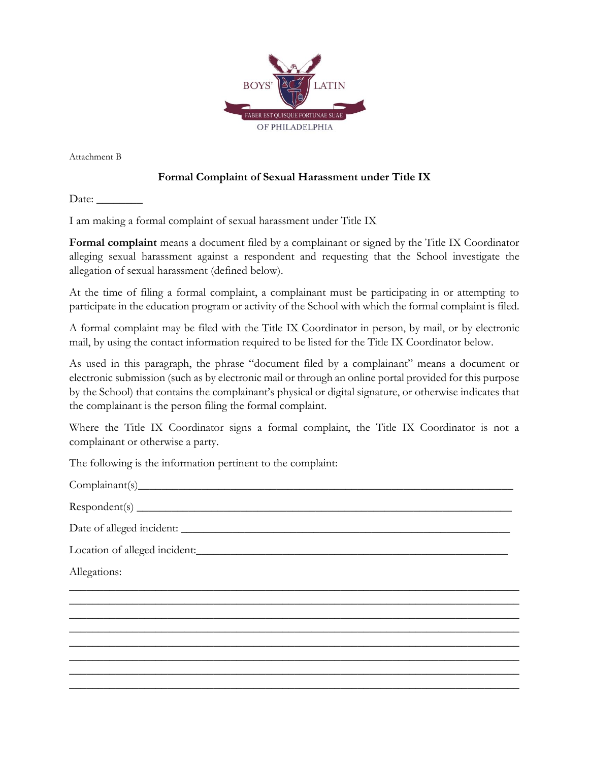

Attachment B

## **Formal Complaint of Sexual Harassment under Title IX**

Date:  $\_\_$ 

I am making a formal complaint of sexual harassment under Title IX

**Formal complaint** means a document filed by a complainant or signed by the Title IX Coordinator alleging sexual harassment against a respondent and requesting that the School investigate the allegation of sexual harassment (defined below).

At the time of filing a formal complaint, a complainant must be participating in or attempting to participate in the education program or activity of the School with which the formal complaint is filed.

A formal complaint may be filed with the Title IX Coordinator in person, by mail, or by electronic mail, by using the contact information required to be listed for the Title IX Coordinator below.

As used in this paragraph, the phrase "document filed by a complainant" means a document or electronic submission (such as by electronic mail or through an online portal provided for this purpose by the School) that contains the complainant's physical or digital signature, or otherwise indicates that the complainant is the person filing the formal complaint.

Where the Title IX Coordinator signs a formal complaint, the Title IX Coordinator is not a complainant or otherwise a party.

\_\_\_\_\_\_\_\_\_\_\_\_\_\_\_\_\_\_\_\_\_\_\_\_\_\_\_\_\_\_\_\_\_\_\_\_\_\_\_\_\_\_\_\_\_\_\_\_\_\_\_\_\_\_\_\_\_\_\_\_\_\_\_\_\_\_\_\_\_\_\_\_\_\_\_\_\_\_ \_\_\_\_\_\_\_\_\_\_\_\_\_\_\_\_\_\_\_\_\_\_\_\_\_\_\_\_\_\_\_\_\_\_\_\_\_\_\_\_\_\_\_\_\_\_\_\_\_\_\_\_\_\_\_\_\_\_\_\_\_\_\_\_\_\_\_\_\_\_\_\_\_\_\_\_\_\_ \_\_\_\_\_\_\_\_\_\_\_\_\_\_\_\_\_\_\_\_\_\_\_\_\_\_\_\_\_\_\_\_\_\_\_\_\_\_\_\_\_\_\_\_\_\_\_\_\_\_\_\_\_\_\_\_\_\_\_\_\_\_\_\_\_\_\_\_\_\_\_\_\_\_\_\_\_\_ \_\_\_\_\_\_\_\_\_\_\_\_\_\_\_\_\_\_\_\_\_\_\_\_\_\_\_\_\_\_\_\_\_\_\_\_\_\_\_\_\_\_\_\_\_\_\_\_\_\_\_\_\_\_\_\_\_\_\_\_\_\_\_\_\_\_\_\_\_\_\_\_\_\_\_\_\_\_ \_\_\_\_\_\_\_\_\_\_\_\_\_\_\_\_\_\_\_\_\_\_\_\_\_\_\_\_\_\_\_\_\_\_\_\_\_\_\_\_\_\_\_\_\_\_\_\_\_\_\_\_\_\_\_\_\_\_\_\_\_\_\_\_\_\_\_\_\_\_\_\_\_\_\_\_\_\_ \_\_\_\_\_\_\_\_\_\_\_\_\_\_\_\_\_\_\_\_\_\_\_\_\_\_\_\_\_\_\_\_\_\_\_\_\_\_\_\_\_\_\_\_\_\_\_\_\_\_\_\_\_\_\_\_\_\_\_\_\_\_\_\_\_\_\_\_\_\_\_\_\_\_\_\_\_\_ \_\_\_\_\_\_\_\_\_\_\_\_\_\_\_\_\_\_\_\_\_\_\_\_\_\_\_\_\_\_\_\_\_\_\_\_\_\_\_\_\_\_\_\_\_\_\_\_\_\_\_\_\_\_\_\_\_\_\_\_\_\_\_\_\_\_\_\_\_\_\_\_\_\_\_\_\_\_ \_\_\_\_\_\_\_\_\_\_\_\_\_\_\_\_\_\_\_\_\_\_\_\_\_\_\_\_\_\_\_\_\_\_\_\_\_\_\_\_\_\_\_\_\_\_\_\_\_\_\_\_\_\_\_\_\_\_\_\_\_\_\_\_\_\_\_\_\_\_\_\_\_\_\_\_\_\_

The following is the information pertinent to the complaint:

Complainant(s)\_\_\_\_\_\_\_\_\_\_\_\_\_\_\_\_\_\_\_\_\_\_\_\_\_\_\_\_\_\_\_\_\_\_\_\_\_\_\_\_\_\_\_\_\_\_\_\_\_\_\_\_\_\_\_\_\_\_\_\_\_\_\_\_\_

 $Respondent(s)$   $\qquad \qquad$ 

Date of alleged incident: \_\_\_\_\_\_\_\_\_\_\_\_\_\_\_\_\_\_\_\_\_\_\_\_\_\_\_\_\_\_\_\_\_\_\_\_\_\_\_\_\_\_\_\_\_\_\_\_\_\_\_\_\_\_\_\_\_

Location of alleged incident:

Allegations: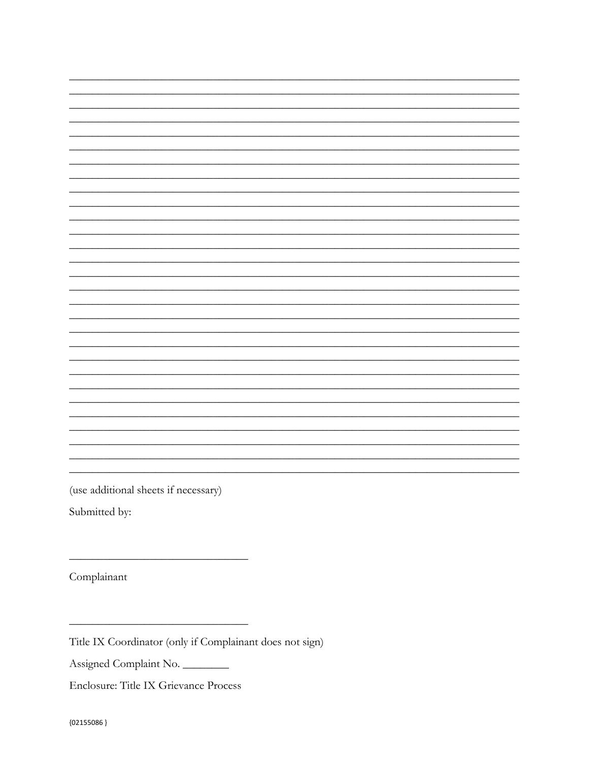(use additional sheets if necessary)

Submitted by:

Complainant

Title IX Coordinator (only if Complainant does not sign)

Assigned Complaint No.

Enclosure: Title IX Grievance Process